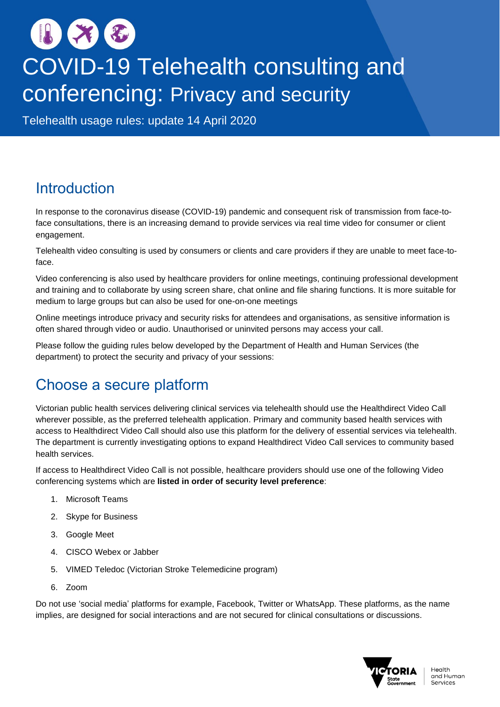# **COVID-19 Telehealth consulting and** conferencing: Privacy and security

Telehealth usage rules: update 14 April 2020

## **Introduction**

In response to the coronavirus disease (COVID-19) pandemic and consequent risk of transmission from face-toface consultations, there is an increasing demand to provide services via real time video for consumer or client engagement.

Telehealth video consulting is used by consumers or clients and care providers if they are unable to meet face-toface.

Video conferencing is also used by healthcare providers for online meetings, continuing professional development and training and to collaborate by using screen share, chat online and file sharing functions. It is more suitable for medium to large groups but can also be used for one-on-one meetings

Online meetings introduce privacy and security risks for attendees and organisations, as sensitive information is often shared through video or audio. Unauthorised or uninvited persons may access your call.

Please follow the guiding rules below developed by the Department of Health and Human Services (the department) to protect the security and privacy of your sessions:

## Choose a secure platform

Victorian public health services delivering clinical services via telehealth should use the Healthdirect Video Call wherever possible, as the preferred telehealth application. Primary and community based health services with access to Healthdirect Video Call should also use this platform for the delivery of essential services via telehealth. The department is currently investigating options to expand Healthdirect Video Call services to community based health services.

If access to Healthdirect Video Call is not possible, healthcare providers should use one of the following Video conferencing systems which are **listed in order of security level preference**:

- 1. Microsoft Teams
- 2. Skype for Business
- 3. Google Meet
- 4. CISCO Webex or Jabber
- 5. VIMED Teledoc (Victorian Stroke Telemedicine program)
- 6. Zoom

Do not use 'social media' platforms for example, Facebook, Twitter or WhatsApp. These platforms, as the name implies, are designed for social interactions and are not secured for clinical consultations or discussions.

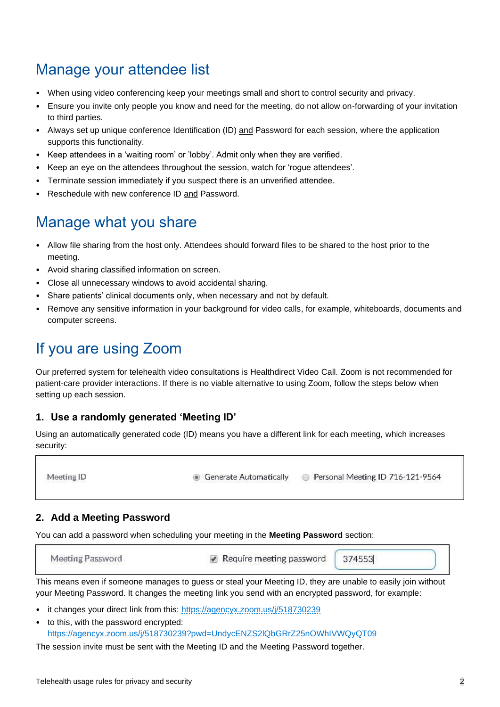## Manage your attendee list

- When using video conferencing keep your meetings small and short to control security and privacy.
- Ensure you invite only people you know and need for the meeting, do not allow on-forwarding of your invitation to third parties.
- Always set up unique conference Identification (ID) and Password for each session, where the application supports this functionality.
- Keep attendees in a 'waiting room' or 'lobby'. Admit only when they are verified.
- Keep an eye on the attendees throughout the session, watch for 'rogue attendees'.
- Terminate session immediately if you suspect there is an unverified attendee.
- Reschedule with new conference ID and Password.

## Manage what you share

- Allow file sharing from the host only. Attendees should forward files to be shared to the host prior to the meeting.
- Avoid sharing classified information on screen.
- Close all unnecessary windows to avoid accidental sharing.
- Share patients' clinical documents only, when necessary and not by default.
- Remove any sensitive information in your background for video calls, for example, whiteboards, documents and computer screens.

## If you are using Zoom

Our preferred system for telehealth video consultations is Healthdirect Video Call. Zoom is not recommended for patient-care provider interactions. If there is no viable alternative to using Zoom, follow the steps below when setting up each session.

#### **1. Use a randomly generated 'Meeting ID'**

Using an automatically generated code (ID) means you have a different link for each meeting, which increases security:

Meeting ID

**Generate Automatically** Personal Meeting ID 716-121-9564

#### **2. Add a Meeting Password**

You can add a password when scheduling your meeting in the **Meeting Password** section:

| Meeting Password | Require meeting password   $374553$ |  |  |
|------------------|-------------------------------------|--|--|
|------------------|-------------------------------------|--|--|

This means even if someone manages to guess or steal your Meeting ID, they are unable to easily join without your Meeting Password. It changes the meeting link you send with an encrypted password, for example:

- it changes your direct link from this: <https://agencyx.zoom.us/j/518730239>
- to this, with the password encrypted: [https://agencyx.zoom.us/j/518730239?pwd=UndycENZS2lQbGRrZ25nOWhIVWQyQT09](https://urldefense.proofpoint.com/v2/url?u=https-3A__bendigohealth.zoom.us_j_518730239-3Fpwd-3DUndycENZS2lQbGRrZ25nOWhIVWQyQT09&d=DwMGaQ&c=JnBkUqWXzx2bz-3a05d47Q&r=3CXhQqxhDqurCT2H7KUuHXpbQuI3DghuyrHVFVvomf0&m=Q3KcDwmImtK-ixhSRk6wlHAwdQ1OBDQl7eihYzS8B9Y&s=4GmcM9sZYIdy3vwxD-M5l128lXPq2YRSVqEp1sLEDFU&e=)

The session invite must be sent with the Meeting ID and the Meeting Password together.